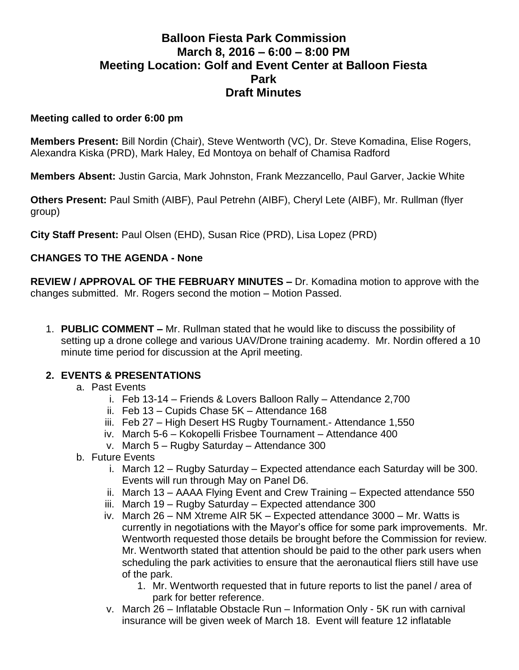# **Balloon Fiesta Park Commission March 8, 2016 – 6:00 – 8:00 PM Meeting Location: Golf and Event Center at Balloon Fiesta Park Draft Minutes**

#### **Meeting called to order 6:00 pm**

**Members Present:** Bill Nordin (Chair), Steve Wentworth (VC), Dr. Steve Komadina, Elise Rogers, Alexandra Kiska (PRD), Mark Haley, Ed Montoya on behalf of Chamisa Radford

**Members Absent:** Justin Garcia, Mark Johnston, Frank Mezzancello, Paul Garver, Jackie White

**Others Present:** Paul Smith (AIBF), Paul Petrehn (AIBF), Cheryl Lete (AIBF), Mr. Rullman (flyer group)

**City Staff Present:** Paul Olsen (EHD), Susan Rice (PRD), Lisa Lopez (PRD)

### **CHANGES TO THE AGENDA - None**

**REVIEW / APPROVAL OF THE FEBRUARY MINUTES –** Dr. Komadina motion to approve with the changes submitted. Mr. Rogers second the motion – Motion Passed.

1. **PUBLIC COMMENT –** Mr. Rullman stated that he would like to discuss the possibility of setting up a drone college and various UAV/Drone training academy. Mr. Nordin offered a 10 minute time period for discussion at the April meeting.

#### **2. EVENTS & PRESENTATIONS**

- a. Past Events
	- i. Feb 13-14 Friends & Lovers Balloon Rally Attendance 2,700
	- ii. Feb 13 Cupids Chase 5K Attendance 168
	- iii. Feb 27 High Desert HS Rugby Tournament.- Attendance 1,550
	- iv. March 5-6 Kokopelli Frisbee Tournament Attendance 400
	- v. March 5 Rugby Saturday Attendance 300
- b. Future Events
	- i. March 12 Rugby Saturday Expected attendance each Saturday will be 300. Events will run through May on Panel D6.
	- ii. March 13 AAAA Flying Event and Crew Training Expected attendance 550
	- iii. March 19 Rugby Saturday Expected attendance 300
	- iv. March 26 NM Xtreme AIR 5K Expected attendance 3000 Mr. Watts is currently in negotiations with the Mayor's office for some park improvements. Mr. Wentworth requested those details be brought before the Commission for review. Mr. Wentworth stated that attention should be paid to the other park users when scheduling the park activities to ensure that the aeronautical fliers still have use of the park.
		- 1. Mr. Wentworth requested that in future reports to list the panel / area of park for better reference.
	- v. March 26 Inflatable Obstacle Run Information Only 5K run with carnival insurance will be given week of March 18. Event will feature 12 inflatable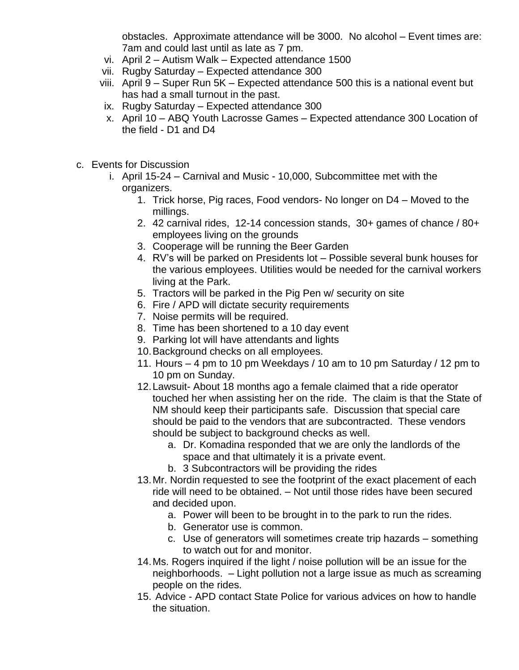obstacles. Approximate attendance will be 3000. No alcohol – Event times are: 7am and could last until as late as 7 pm.

- vi. April 2 Autism Walk Expected attendance 1500
- vii. Rugby Saturday Expected attendance 300
- viii. April 9 Super Run 5K Expected attendance 500 this is a national event but has had a small turnout in the past.
- ix. Rugby Saturday Expected attendance 300
- x. April 10 ABQ Youth Lacrosse Games Expected attendance 300 Location of the field - D1 and D4
- c. Events for Discussion
	- i. April 15-24 Carnival and Music 10,000, Subcommittee met with the organizers.
		- 1. Trick horse, Pig races, Food vendors- No longer on D4 Moved to the millings.
		- 2. 42 carnival rides, 12-14 concession stands, 30+ games of chance / 80+ employees living on the grounds
		- 3. Cooperage will be running the Beer Garden
		- 4. RV's will be parked on Presidents lot Possible several bunk houses for the various employees. Utilities would be needed for the carnival workers living at the Park.
		- 5. Tractors will be parked in the Pig Pen w/ security on site
		- 6. Fire / APD will dictate security requirements
		- 7. Noise permits will be required.
		- 8. Time has been shortened to a 10 day event
		- 9. Parking lot will have attendants and lights
		- 10.Background checks on all employees.
		- 11. Hours 4 pm to 10 pm Weekdays / 10 am to 10 pm Saturday / 12 pm to 10 pm on Sunday.
		- 12.Lawsuit- About 18 months ago a female claimed that a ride operator touched her when assisting her on the ride. The claim is that the State of NM should keep their participants safe. Discussion that special care should be paid to the vendors that are subcontracted. These vendors should be subject to background checks as well.
			- a. Dr. Komadina responded that we are only the landlords of the space and that ultimately it is a private event.
			- b. 3 Subcontractors will be providing the rides
		- 13.Mr. Nordin requested to see the footprint of the exact placement of each ride will need to be obtained. – Not until those rides have been secured and decided upon.
			- a. Power will been to be brought in to the park to run the rides.
			- b. Generator use is common.
			- c. Use of generators will sometimes create trip hazards something to watch out for and monitor.
		- 14.Ms. Rogers inquired if the light / noise pollution will be an issue for the neighborhoods. – Light pollution not a large issue as much as screaming people on the rides.
		- 15. Advice APD contact State Police for various advices on how to handle the situation.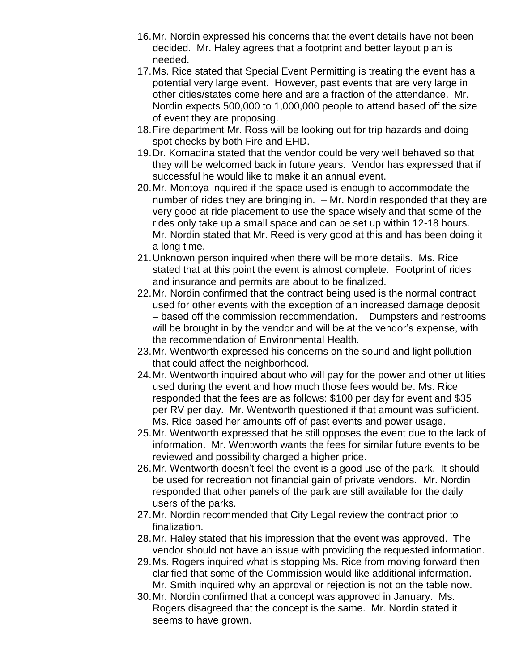- 16.Mr. Nordin expressed his concerns that the event details have not been decided. Mr. Haley agrees that a footprint and better layout plan is needed.
- 17.Ms. Rice stated that Special Event Permitting is treating the event has a potential very large event. However, past events that are very large in other cities/states come here and are a fraction of the attendance. Mr. Nordin expects 500,000 to 1,000,000 people to attend based off the size of event they are proposing.
- 18.Fire department Mr. Ross will be looking out for trip hazards and doing spot checks by both Fire and EHD.
- 19.Dr. Komadina stated that the vendor could be very well behaved so that they will be welcomed back in future years. Vendor has expressed that if successful he would like to make it an annual event.
- 20.Mr. Montoya inquired if the space used is enough to accommodate the number of rides they are bringing in. – Mr. Nordin responded that they are very good at ride placement to use the space wisely and that some of the rides only take up a small space and can be set up within 12-18 hours. Mr. Nordin stated that Mr. Reed is very good at this and has been doing it a long time.
- 21.Unknown person inquired when there will be more details. Ms. Rice stated that at this point the event is almost complete. Footprint of rides and insurance and permits are about to be finalized.
- 22.Mr. Nordin confirmed that the contract being used is the normal contract used for other events with the exception of an increased damage deposit – based off the commission recommendation. Dumpsters and restrooms will be brought in by the vendor and will be at the vendor's expense, with the recommendation of Environmental Health.
- 23.Mr. Wentworth expressed his concerns on the sound and light pollution that could affect the neighborhood.
- 24.Mr. Wentworth inquired about who will pay for the power and other utilities used during the event and how much those fees would be. Ms. Rice responded that the fees are as follows: \$100 per day for event and \$35 per RV per day. Mr. Wentworth questioned if that amount was sufficient. Ms. Rice based her amounts off of past events and power usage.
- 25.Mr. Wentworth expressed that he still opposes the event due to the lack of information. Mr. Wentworth wants the fees for similar future events to be reviewed and possibility charged a higher price.
- 26.Mr. Wentworth doesn't feel the event is a good use of the park. It should be used for recreation not financial gain of private vendors. Mr. Nordin responded that other panels of the park are still available for the daily users of the parks.
- 27.Mr. Nordin recommended that City Legal review the contract prior to finalization.
- 28.Mr. Haley stated that his impression that the event was approved. The vendor should not have an issue with providing the requested information.
- 29.Ms. Rogers inquired what is stopping Ms. Rice from moving forward then clarified that some of the Commission would like additional information. Mr. Smith inquired why an approval or rejection is not on the table now.
- 30.Mr. Nordin confirmed that a concept was approved in January. Ms. Rogers disagreed that the concept is the same. Mr. Nordin stated it seems to have grown.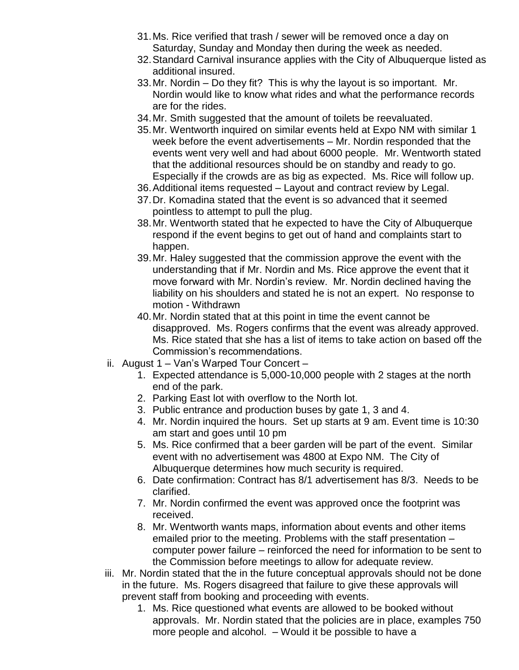- 31.Ms. Rice verified that trash / sewer will be removed once a day on Saturday, Sunday and Monday then during the week as needed.
- 32.Standard Carnival insurance applies with the City of Albuquerque listed as additional insured.
- 33.Mr. Nordin Do they fit? This is why the layout is so important. Mr. Nordin would like to know what rides and what the performance records are for the rides.
- 34.Mr. Smith suggested that the amount of toilets be reevaluated.
- 35.Mr. Wentworth inquired on similar events held at Expo NM with similar 1 week before the event advertisements – Mr. Nordin responded that the events went very well and had about 6000 people. Mr. Wentworth stated that the additional resources should be on standby and ready to go. Especially if the crowds are as big as expected. Ms. Rice will follow up.
- 36.Additional items requested Layout and contract review by Legal.
- 37.Dr. Komadina stated that the event is so advanced that it seemed pointless to attempt to pull the plug.
- 38.Mr. Wentworth stated that he expected to have the City of Albuquerque respond if the event begins to get out of hand and complaints start to happen.
- 39.Mr. Haley suggested that the commission approve the event with the understanding that if Mr. Nordin and Ms. Rice approve the event that it move forward with Mr. Nordin's review. Mr. Nordin declined having the liability on his shoulders and stated he is not an expert. No response to motion - Withdrawn
- 40.Mr. Nordin stated that at this point in time the event cannot be disapproved. Ms. Rogers confirms that the event was already approved. Ms. Rice stated that she has a list of items to take action on based off the Commission's recommendations.
- ii. August 1 Van's Warped Tour Concert
	- 1. Expected attendance is 5,000-10,000 people with 2 stages at the north end of the park.
	- 2. Parking East lot with overflow to the North lot.
	- 3. Public entrance and production buses by gate 1, 3 and 4.
	- 4. Mr. Nordin inquired the hours. Set up starts at 9 am. Event time is 10:30 am start and goes until 10 pm
	- 5. Ms. Rice confirmed that a beer garden will be part of the event. Similar event with no advertisement was 4800 at Expo NM. The City of Albuquerque determines how much security is required.
	- 6. Date confirmation: Contract has 8/1 advertisement has 8/3. Needs to be clarified.
	- 7. Mr. Nordin confirmed the event was approved once the footprint was received.
	- 8. Mr. Wentworth wants maps, information about events and other items emailed prior to the meeting. Problems with the staff presentation – computer power failure – reinforced the need for information to be sent to the Commission before meetings to allow for adequate review.
- iii. Mr. Nordin stated that the in the future conceptual approvals should not be done in the future. Ms. Rogers disagreed that failure to give these approvals will prevent staff from booking and proceeding with events.
	- 1. Ms. Rice questioned what events are allowed to be booked without approvals. Mr. Nordin stated that the policies are in place, examples 750 more people and alcohol. – Would it be possible to have a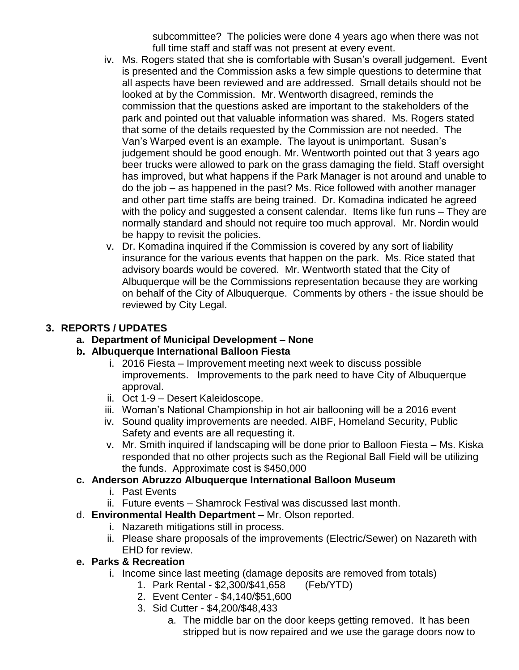subcommittee? The policies were done 4 years ago when there was not full time staff and staff was not present at every event.

- iv. Ms. Rogers stated that she is comfortable with Susan's overall judgement. Event is presented and the Commission asks a few simple questions to determine that all aspects have been reviewed and are addressed. Small details should not be looked at by the Commission. Mr. Wentworth disagreed, reminds the commission that the questions asked are important to the stakeholders of the park and pointed out that valuable information was shared. Ms. Rogers stated that some of the details requested by the Commission are not needed. The Van's Warped event is an example. The layout is unimportant. Susan's judgement should be good enough. Mr. Wentworth pointed out that 3 years ago beer trucks were allowed to park on the grass damaging the field. Staff oversight has improved, but what happens if the Park Manager is not around and unable to do the job – as happened in the past? Ms. Rice followed with another manager and other part time staffs are being trained. Dr. Komadina indicated he agreed with the policy and suggested a consent calendar. Items like fun runs – They are normally standard and should not require too much approval. Mr. Nordin would be happy to revisit the policies.
- v. Dr. Komadina inquired if the Commission is covered by any sort of liability insurance for the various events that happen on the park. Ms. Rice stated that advisory boards would be covered. Mr. Wentworth stated that the City of Albuquerque will be the Commissions representation because they are working on behalf of the City of Albuquerque. Comments by others - the issue should be reviewed by City Legal.

## **3. REPORTS / UPDATES**

**a. Department of Municipal Development – None** 

## **b. Albuquerque International Balloon Fiesta**

- i. 2016 Fiesta Improvement meeting next week to discuss possible improvements. Improvements to the park need to have City of Albuquerque approval.
- ii. Oct 1-9 Desert Kaleidoscope.
- iii. Woman's National Championship in hot air ballooning will be a 2016 event
- iv. Sound quality improvements are needed. AIBF, Homeland Security, Public Safety and events are all requesting it.
- v. Mr. Smith inquired if landscaping will be done prior to Balloon Fiesta Ms. Kiska responded that no other projects such as the Regional Ball Field will be utilizing the funds. Approximate cost is \$450,000
- **c. Anderson Abruzzo Albuquerque International Balloon Museum**
	- i. Past Events
	- ii. Future events Shamrock Festival was discussed last month.
- d. **Environmental Health Department –** Mr. Olson reported.
	- i. Nazareth mitigations still in process.
	- ii. Please share proposals of the improvements (Electric/Sewer) on Nazareth with EHD for review.

## **e. Parks & Recreation**

- i. Income since last meeting (damage deposits are removed from totals)
	- 1. Park Rental \$2,300/\$41,658 (Feb/YTD)
		- 2. Event Center \$4,140/\$51,600
		- 3. Sid Cutter \$4,200/\$48,433
			- a. The middle bar on the door keeps getting removed. It has been stripped but is now repaired and we use the garage doors now to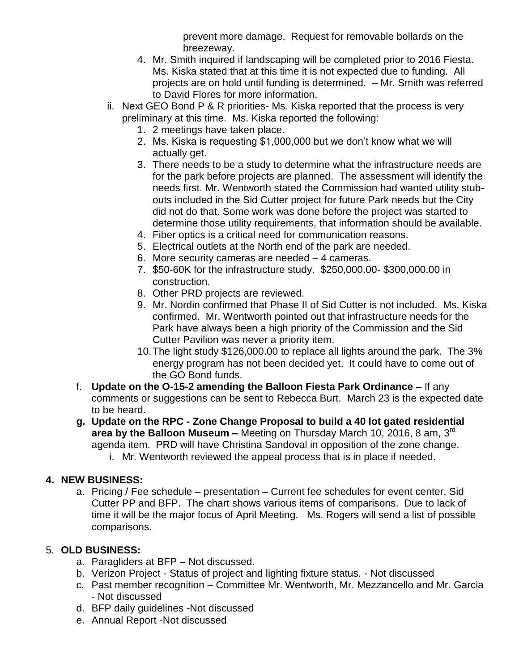prevent more damage. Request for removable bollards on the breezeway.

- 4. Mr. Smith inquired if landscaping will be completed prior to 2016 Fiesta. Ms. Kiska stated that at this time it is not expected due to funding. All projects are on hold until funding is determined. – Mr. Smith was referred to David Flores for more information.
- ii. Next GEO Bond P & R priorities- Ms. Kiska reported that the process is very preliminary at this time. Ms. Kiska reported the following:
	- 1. 2 meetings have taken place.
	- 2. Ms. Kiska is requesting \$1,000,000 but we don't know what we will actually get.
	- 3. There needs to be a study to determine what the infrastructure needs are for the park before projects are planned. The assessment will identify the needs first. Mr. Wentworth stated the Commission had wanted utility stubouts included in the Sid Cutter project for future Park needs but the City did not do that. Some work was done before the project was started to determine those utility requirements, that information should be available.
	- 4. Fiber optics is a critical need for communication reasons.
	- 5. Electrical outlets at the North end of the park are needed.
	- 6. More security cameras are needed 4 cameras.
	- 7. \$50-60K for the infrastructure study. \$250,000.00- \$300,000.00 in construction.
	- 8. Other PRD projects are reviewed.
	- 9. Mr. Nordin confirmed that Phase II of Sid Cutter is not included. Ms. Kiska confirmed. Mr. Wentworth pointed out that infrastructure needs for the Park have always been a high priority of the Commission and the Sid Cutter Pavilion was never a priority item.
	- 10.The light study \$126,000.00 to replace all lights around the park. The 3% energy program has not been decided yet. It could have to come out of the GO Bond funds.
- f. **Update on the O-15-2 amending the Balloon Fiesta Park Ordinance –** If any comments or suggestions can be sent to Rebecca Burt. March 23 is the expected date to be heard.
- **g. Update on the RPC - Zone Change Proposal to build a 40 lot gated residential**  area by the Balloon Museum – Meeting on Thursday March 10, 2016, 8 am, 3<sup>rd</sup> agenda item. PRD will have Christina Sandoval in opposition of the zone change. i. Mr. Wentworth reviewed the appeal process that is in place if needed.

### **4. NEW BUSINESS:**

a. Pricing / Fee schedule – presentation – Current fee schedules for event center, Sid Cutter PP and BFP. The chart shows various items of comparisons. Due to lack of time it will be the major focus of April Meeting. Ms. Rogers will send a list of possible comparisons.

### 5. **OLD BUSINESS:**

- a. Paragliders at BFP Not discussed.
- b. Verizon Project Status of project and lighting fixture status. Not discussed
- c. Past member recognition Committee Mr. Wentworth, Mr. Mezzancello and Mr. Garcia - Not discussed
- d. BFP daily guidelines -Not discussed
- e. Annual Report -Not discussed